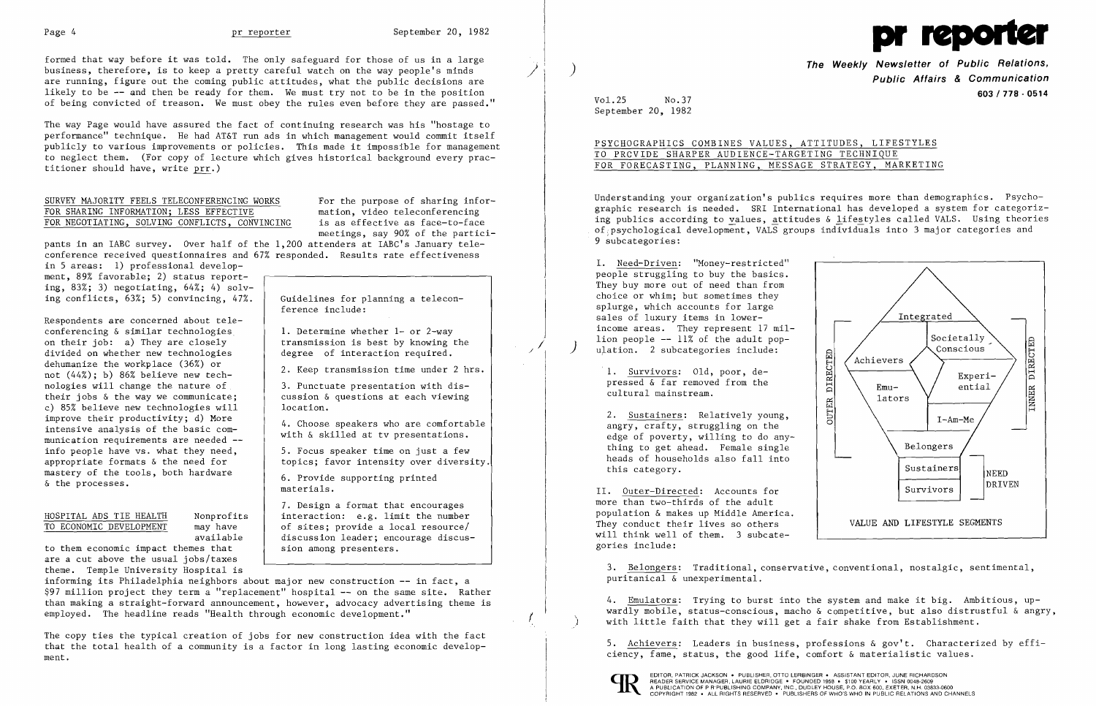

The way Page would have assured the fact of continuing research was his "hostage to performance" technique. He had AT&T run ads in which management would commit itself publicly to various improvements or policies. This made it impossible for management to neglect them. (For copy of lecture which gives historical background every practitioner should have, write prr.)

## SURVEY MAJORITY FEELS TELECONFERENCING WORKS<br>FOR SHARING INFORMATION; LESS EFFECTIVE mation, video teleconferencing FOR SHARING INFORMATION; LESS EFFECTIVE mation, video teleconferencing<br>FOR NEGOTIATING, SOLVING CONFLICTS, CONVINCING is as effective as face-to-face FOR NEGOTIATING, SOLVING CONFLICTS, CONVINCING

formed that way before it was told. The only safeguard for those of us in a large business, therefore, is to keep a pretty careful watch on the way people's minds are running, figure out the coming public attitudes, what the public decisions are likely to be -- and then be ready for them. We must try not to be in the position of being convicted of treason. We must obey the rules even before they are passed."

meetings, say 90% of the partici-

I. Need-Driven: "Money-restricted" people struggling to buy the basics. They buy more out of need than from choice or whim; but sometimes they splurge, which accounts for large sales of luxury items in lower income areas. They represent 17 mil

pants in an IABC survey. Over half of the 1,200 attenders at IABC's January teleconference received questionnaires and 67% responded. Results rate effectiveness

> 2. Sustainers: Relatively young, angry, crafty, struggling on the edge of poverty, willing to do any thing to get ahead. Female single heads of households also fall into this category.

**The Weekly Newsletter of Public Relations,** /; ) **Public Affairs & Communication** <sup>I</sup>**603/778 - <sup>0514</sup>** Vol.25 No.37

September 20, 1982

PSYCHOGRAPHICS COMBINES VALUES, ATTITUDES, LIFESTYLES TO PRCVIDE SHARPER AUDIENCE-TARGETING TECHNIQUE FOR FORECASTING, PLANNING, MESSAGE STRATEGY, MARKETING

4. Emulators: Trying to burst into the system and make it big. Ambitious, upwardly mobile, status-conscious, macho & competitive, but also distrustful & angry,<br>
i with little faith that they will get a fair shake from Establishment.



EDITOR, PATRICK JACKSON • PUBLISHER, OTTO LERBINGER • ASSISTANT EDITOR, JUNE RICHARDSON<br>READER SERVICE MANAGER, LAURIE ELDRIDGE • FOUNDED 1958 • \$100 YEARLY • ISSN 0048-2609 A PUBLICATION OF P R'PUBLISHING COMPANY, INC., DUDLEY HOUSE, P.O. BOX 600, EXETER, N.H. 03833-0600<br>COPYRIGHT 1982 • ALL RIGHTS RESERVED • PUBLISHERS OF WHO'S WHO IN PUBLIC RELATIONS AND CHANNELS

Understanding your organization's publics requires more than demographics. Psychographic research is needed. SRI International has developed a system for categorizing publics according to values, attitudes & lifestyles called VALS. Using theories of psychological development, VALS groups individuals into 3 major categories and 9 subcategories:

in 5 areas: 1) professional development, 89% favorable; 2) status reporting,  $83\%$ ; 3) negotiating,  $64\%$ ; 4) solving conflicts, 63%; 5) convincing, 47%.

cultural mainstream.



The copy ties the typical creation of jobs for new construction idea with the fact that the total health of a community is a factor in long lasting economic develop-<br>  $\frac{1}{2}$ , Achievers: Leaders in business, professions & gov't. Characterized by effiment. The status, the good life, comfort & materialistic values.

more than two-thirds of the adult II. Outer-Directed: Accounts population & makes up Middle America. They conduct their lives so others will think well of them. 3 subcategories include:

3. Belongers: Traditional, conservative, conventional, nostalgic, sentimental, puritanical & unexperimental.

Respondents are concerned about teleconferencing & similar technologies on their job: a) They are closely divided on whether new technologies dehumanize the workplace (36%) or not (44%); b) 86% believe new technologies will change the nature of their jobs & the way we communicate; c) 85% believe new technologies will improve their productivity; d) More intensive analysis of the basic communication requirements are needed info people have vs. what they need, appropriate formats & the need for mastery of the tools, both hardware & the processes.

## HOSPITAL ADS TIE HEALTH<br>TO ECONOMIC DEVELOPMENT may have TO ECONOMIC DEVELOPMENT

Guidelines for planning a telecon-

ference include:

1. Determine whether 1- or 2-way transmission is best by knowing the degree of interaction required.

2. Keep transmission time under 2 hrs. 3. Punctuate presentation with discussion & questions at each viewing

location.

available to them economic impact themes that are a cut above the usual jobs/taxes theme. Temple University Hospital is

4. Choose speakers who are comfortable with & skilled at tv presentations. 5. Focus speaker time on just a few topics; favor intensity over diversity.

6. Provide supporting printed

materials.

7. Design a format that encourages interaction: e.g. limit the number of sites; provide a local resource/ discussion leader; encourage discus-

sion among presenters.

informing its Philadelphia neighbors about major new construction -- in fact, a \$97 million project they term a "replacement" hospital -- on the same site. Rather than making a straight-forward announcement, however, advocacy advertising theme is employed. The headline reads "Health through economic development."